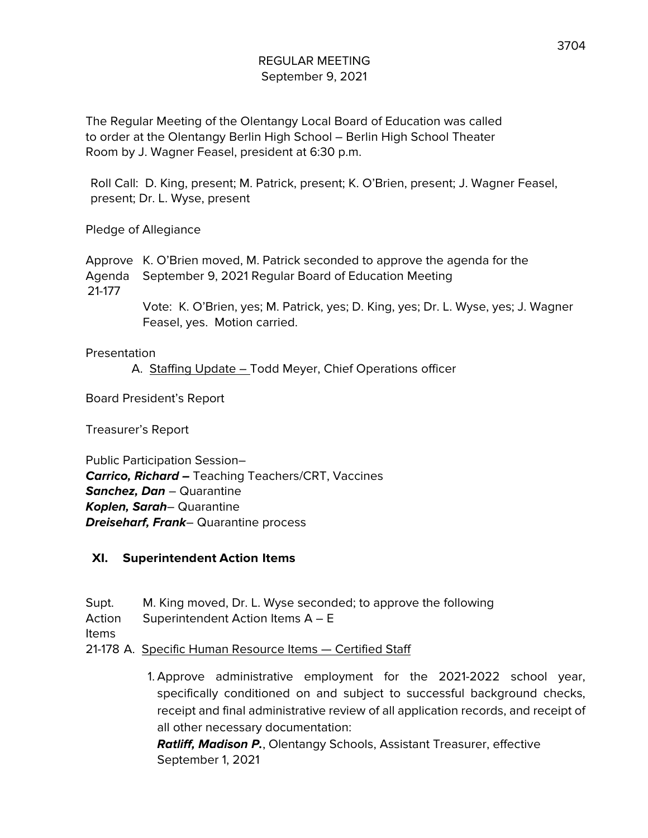The Regular Meeting of the Olentangy Local Board of Education was called to order at the Olentangy Berlin High School – Berlin High School Theater Room by J. Wagner Feasel, president at 6:30 p.m.

Roll Call: D. King, present; M. Patrick, present; K. O'Brien, present; J. Wagner Feasel, present; Dr. L. Wyse, present

Pledge of Allegiance

Approve K. O'Brien moved, M. Patrick seconded to approve the agenda for the Agenda September 9, 2021 Regular Board of Education Meeting 21-177

> Vote: K. O'Brien, yes; M. Patrick, yes; D. King, yes; Dr. L. Wyse, yes; J. Wagner Feasel, yes. Motion carried.

#### Presentation

A. Staffing Update – Todd Meyer, Chief Operations officer

Board President's Report

Treasurer's Report

Public Participation Session– **Carrico, Richard –** Teaching Teachers/CRT, Vaccines **Sanchez, Dan** – Quarantine **Koplen, Sarah**– Quarantine **Dreiseharf, Frank**– Quarantine process

#### **XI. Superintendent Action Items**

- Supt. M. King moved, Dr. L. Wyse seconded; to approve the following Action Superintendent Action Items A – E Items 21-178 A. Specific Human Resource Items — Certified Staff
	- 1. Approve administrative employment for the 2021-2022 school year, specifically conditioned on and subject to successful background checks, receipt and final administrative review of all application records, and receipt of all other necessary documentation:

**Ratliff, Madison P.**, Olentangy Schools, Assistant Treasurer, effective September 1, 2021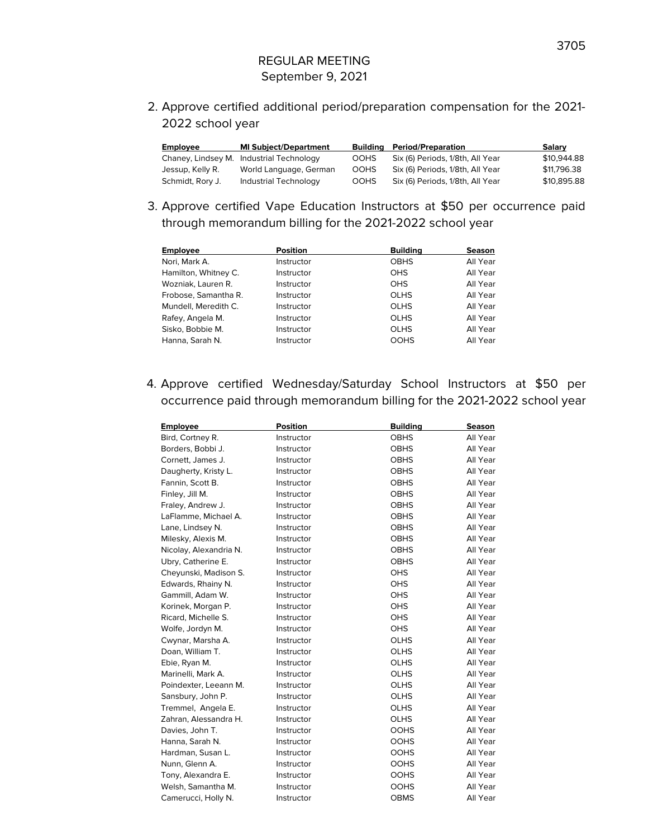2. Approve certified additional period/preparation compensation for the 2021- 2022 school year

| <b>Employee</b>  | <b>MI Subject/Department</b>             |             | <b>Building Period/Preparation</b> | Salary      |
|------------------|------------------------------------------|-------------|------------------------------------|-------------|
|                  | Chaney, Lindsey M. Industrial Technology | <b>OOHS</b> | Six (6) Periods, 1/8th, All Year   | \$10,944.88 |
| Jessup, Kelly R. | World Language, German                   | <b>OOHS</b> | Six (6) Periods, 1/8th, All Year   | \$11,796.38 |
| Schmidt, Rory J. | Industrial Technology                    | <b>OOHS</b> | Six (6) Periods, 1/8th, All Year   | \$10,895.88 |

3. Approve certified Vape Education Instructors at \$50 per occurrence paid through memorandum billing for the 2021-2022 school year

| <b>Employee</b>      | <b>Position</b> | <b>Building</b> | <b>Season</b> |
|----------------------|-----------------|-----------------|---------------|
| Nori, Mark A.        | Instructor      | <b>OBHS</b>     | All Year      |
| Hamilton, Whitney C. | Instructor      | OHS.            | All Year      |
| Wozniak, Lauren R.   | Instructor      | <b>OHS</b>      | All Year      |
| Frobose, Samantha R. | Instructor      | <b>OLHS</b>     | All Year      |
| Mundell, Meredith C. | Instructor      | <b>OLHS</b>     | All Year      |
| Rafey, Angela M.     | Instructor      | <b>OLHS</b>     | All Year      |
| Sisko, Bobbie M.     | Instructor      | <b>OLHS</b>     | All Year      |
| Hanna, Sarah N.      | Instructor      | <b>OOHS</b>     | All Year      |

4. Approve certified Wednesday/Saturday School Instructors at \$50 per occurrence paid through memorandum billing for the 2021-2022 school year

| <b>Employee</b>        | <b>Position</b> | <b>Building</b> | <b>Season</b> |
|------------------------|-----------------|-----------------|---------------|
| Bird, Cortney R.       | Instructor      | <b>OBHS</b>     | All Year      |
| Borders, Bobbi J.      | Instructor      | <b>OBHS</b>     | All Year      |
| Cornett, James J.      | Instructor      | <b>OBHS</b>     | All Year      |
| Daugherty, Kristy L.   | Instructor      | <b>OBHS</b>     | All Year      |
| Fannin, Scott B.       | Instructor      | <b>OBHS</b>     | All Year      |
| Finley, Jill M.        | Instructor      | <b>OBHS</b>     | All Year      |
| Fraley, Andrew J.      | Instructor      | <b>OBHS</b>     | All Year      |
| LaFlamme, Michael A.   | Instructor      | <b>OBHS</b>     | All Year      |
| Lane, Lindsey N.       | Instructor      | <b>OBHS</b>     | All Year      |
| Milesky, Alexis M.     | Instructor      | <b>OBHS</b>     | All Year      |
| Nicolay, Alexandria N. | Instructor      | <b>OBHS</b>     | All Year      |
| Ubry, Catherine E.     | Instructor      | <b>OBHS</b>     | All Year      |
| Cheyunski, Madison S.  | Instructor      | <b>OHS</b>      | All Year      |
| Edwards, Rhainy N.     | Instructor      | <b>OHS</b>      | All Year      |
| Gammill, Adam W.       | Instructor      | <b>OHS</b>      | All Year      |
| Korinek, Morgan P.     | Instructor      | <b>OHS</b>      | All Year      |
| Ricard, Michelle S.    | Instructor      | <b>OHS</b>      | All Year      |
| Wolfe, Jordyn M.       | Instructor      | <b>OHS</b>      | All Year      |
| Cwynar, Marsha A.      | Instructor      | <b>OLHS</b>     | All Year      |
| Doan, William T.       | Instructor      | <b>OLHS</b>     | All Year      |
| Ebie, Ryan M.          | Instructor      | <b>OLHS</b>     | All Year      |
| Marinelli, Mark A.     | Instructor      | <b>OLHS</b>     | All Year      |
| Poindexter, Leeann M.  | Instructor      | <b>OLHS</b>     | All Year      |
| Sansbury, John P.      | Instructor      | <b>OLHS</b>     | All Year      |
| Tremmel, Angela E.     | Instructor      | OLHS            | All Year      |
| Zahran, Alessandra H.  | Instructor      | <b>OLHS</b>     | All Year      |
| Davies, John T.        | Instructor      | <b>OOHS</b>     | All Year      |
| Hanna, Sarah N.        | Instructor      | <b>OOHS</b>     | All Year      |
| Hardman, Susan L.      | Instructor      | <b>OOHS</b>     | All Year      |
| Nunn, Glenn A.         | Instructor      | <b>OOHS</b>     | All Year      |
| Tony, Alexandra E.     | Instructor      | <b>OOHS</b>     | All Year      |
| Welsh, Samantha M.     | Instructor      | <b>OOHS</b>     | All Year      |
| Camerucci, Holly N.    | Instructor      | <b>OBMS</b>     | All Year      |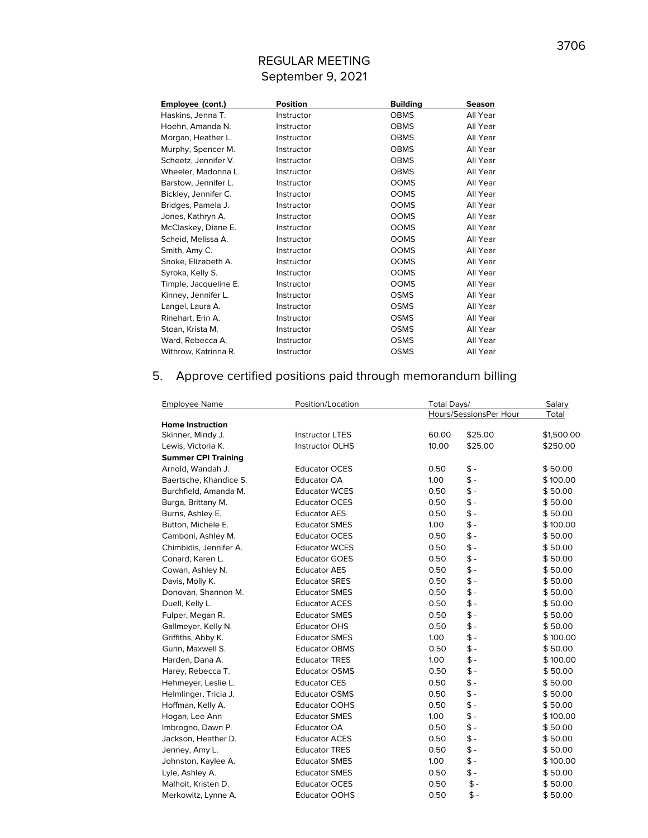| Employee (cont.)      | <b>Position</b> | <b>Building</b> | <b>Season</b> |
|-----------------------|-----------------|-----------------|---------------|
| Haskins, Jenna T.     | Instructor      | <b>OBMS</b>     | All Year      |
| Hoehn, Amanda N.      | Instructor      | <b>OBMS</b>     | All Year      |
| Morgan, Heather L.    | Instructor      | <b>OBMS</b>     | All Year      |
| Murphy, Spencer M.    | Instructor      | <b>OBMS</b>     | All Year      |
| Scheetz, Jennifer V.  | Instructor      | <b>OBMS</b>     | All Year      |
| Wheeler, Madonna L.   | Instructor      | <b>OBMS</b>     | All Year      |
| Barstow, Jennifer L.  | Instructor      | <b>OOMS</b>     | All Year      |
| Bickley, Jennifer C.  | Instructor      | <b>OOMS</b>     | All Year      |
| Bridges, Pamela J.    | Instructor      | <b>OOMS</b>     | All Year      |
| Jones, Kathryn A.     | Instructor      | <b>OOMS</b>     | All Year      |
| McClaskey, Diane E.   | Instructor      | <b>OOMS</b>     | All Year      |
| Scheid, Melissa A.    | Instructor      | <b>OOMS</b>     | All Year      |
| Smith, Amy C.         | Instructor      | <b>OOMS</b>     | All Year      |
| Snoke, Elizabeth A.   | Instructor      | <b>OOMS</b>     | All Year      |
| Syroka, Kelly S.      | Instructor      | <b>OOMS</b>     | All Year      |
| Timple, Jacqueline E. | Instructor      | <b>OOMS</b>     | All Year      |
| Kinney, Jennifer L.   | Instructor      | <b>OSMS</b>     | All Year      |
| Langel, Laura A.      | Instructor      | <b>OSMS</b>     | All Year      |
| Rinehart, Erin A.     | Instructor      | <b>OSMS</b>     | All Year      |
| Stoan, Krista M.      | Instructor      | <b>OSMS</b>     | All Year      |
| Ward, Rebecca A.      | Instructor      | <b>OSMS</b>     | All Year      |
| Withrow, Katrinna R.  | Instructor      | <b>OSMS</b>     | All Year      |

# 5. Approve certified positions paid through memorandum billing

| <b>Employee Name</b>       | Position/Location      | Total Days/ | Salary                 |            |
|----------------------------|------------------------|-------------|------------------------|------------|
|                            |                        |             | Hours/SessionsPer Hour | Total      |
| <b>Home Instruction</b>    |                        |             |                        |            |
| Skinner, Mindy J.          | <b>Instructor LTES</b> | 60.00       | \$25.00                | \$1,500.00 |
| Lewis, Victoria K.         | <b>Instructor OLHS</b> | 10.00       | \$25.00                | \$250.00   |
| <b>Summer CPI Training</b> |                        |             |                        |            |
| Arnold, Wandah J.          | <b>Educator OCES</b>   | 0.50        | $$ -$                  | \$50.00    |
| Baertsche, Khandice S.     | <b>Educator OA</b>     | 1.00        | $$ -$                  | \$100.00   |
| Burchfield, Amanda M.      | <b>Educator WCES</b>   | 0.50        | $$ -$                  | \$50.00    |
| Burga, Brittany M.         | <b>Educator OCES</b>   | 0.50        | \$-                    | \$50.00    |
| Burns, Ashley E.           | <b>Educator AES</b>    | 0.50        | $$ -$                  | \$50.00    |
| Button, Michele E.         | <b>Educator SMES</b>   | 1.00        | $$ -$                  | \$100.00   |
| Camboni, Ashley M.         | <b>Educator OCES</b>   | 0.50        | $$ -$                  | \$50.00    |
| Chimbidis, Jennifer A.     | <b>Educator WCES</b>   | 0.50        | $$ -$                  | \$50.00    |
| Conard, Karen L.           | <b>Educator GOES</b>   | 0.50        | $$ -$                  | \$50.00    |
| Cowan, Ashley N.           | <b>Educator AES</b>    | 0.50        | $\ddagger$ -           | \$50.00    |
| Davis, Molly K.            | <b>Educator SRES</b>   | 0.50        | $$ -$                  | \$50.00    |
| Donovan, Shannon M.        | <b>Educator SMES</b>   | 0.50        | $$ -$                  | \$50.00    |
| Duell, Kelly L.            | <b>Educator ACES</b>   | 0.50        | $$ -$                  | \$50.00    |
| Fulper, Megan R.           | <b>Educator SMES</b>   | 0.50        | $$ -$                  | \$50.00    |
| Gallmeyer, Kelly N.        | <b>Educator OHS</b>    | 0.50        | $$ -$                  | \$50.00    |
| Griffiths, Abby K.         | <b>Educator SMES</b>   | 1.00        | $$ -$                  | \$100.00   |
| Gunn, Maxwell S.           | <b>Educator OBMS</b>   | 0.50        | $$ -$                  | \$50.00    |
| Harden, Dana A.            | <b>Educator TRES</b>   | 1.00        | $$ -$                  | \$100.00   |
| Harey, Rebecca T.          | <b>Educator OSMS</b>   | 0.50        | $$ -$                  | \$50.00    |
| Hehmeyer, Leslie L.        | <b>Educator CES</b>    | 0.50        | $$ -$                  | \$50.00    |
| Helmlinger, Tricia J.      | <b>Educator OSMS</b>   | 0.50        | $$ -$                  | \$50.00    |
| Hoffman, Kelly A.          | <b>Educator OOHS</b>   | 0.50        | $$ -$                  | \$50.00    |
| Hogan, Lee Ann             | <b>Educator SMES</b>   | 1.00        | $\ddagger$ -           | \$100.00   |
| Imbrogno, Dawn P.          | <b>Educator OA</b>     | 0.50        | $$ -$                  | \$50.00    |
| Jackson, Heather D.        | <b>Educator ACES</b>   | 0.50        | $$ -$                  | \$50.00    |
| Jenney, Amy L.             | <b>Educator TRES</b>   | 0.50        | $$ -$                  | \$50.00    |
| Johnston, Kaylee A.        | <b>Educator SMES</b>   | 1.00        | $$ -$                  | \$100.00   |
| Lyle, Ashley A.            | <b>Educator SMES</b>   | 0.50        | $$ -$                  | \$50.00    |
| Malhoit, Kristen D.        | <b>Educator OCES</b>   | 0.50        | \$ -                   | \$50.00    |
| Merkowitz, Lynne A.        | <b>Educator OOHS</b>   | 0.50        | $\frac{2}{3}$ -        | \$50.00    |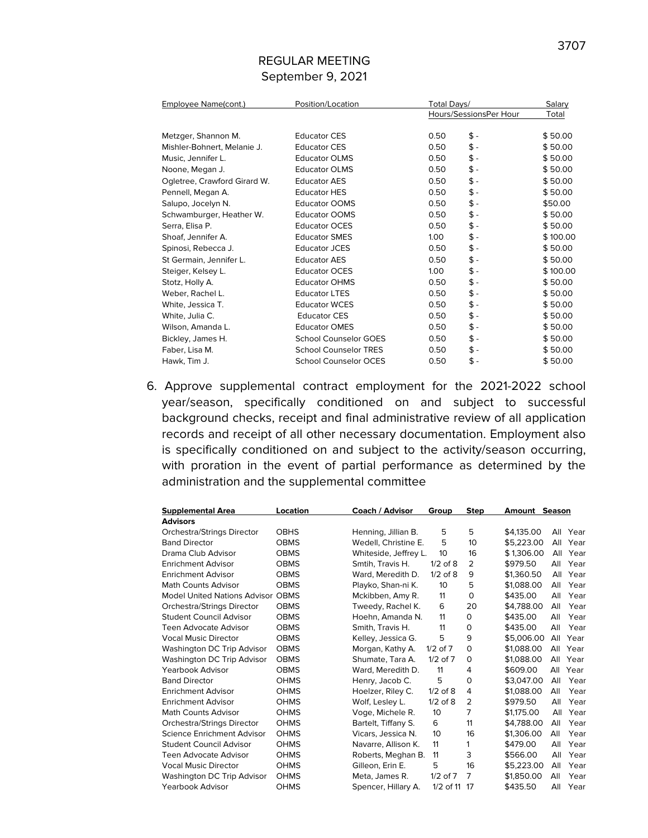| Employee Name(cont.)         | Position/Location            |                   | Total Days/            |          |  |
|------------------------------|------------------------------|-------------------|------------------------|----------|--|
|                              |                              |                   | Hours/SessionsPer Hour | Total    |  |
| Metzger, Shannon M.          | <b>Educator CES</b>          | 0.50              | $$ -$                  | \$50.00  |  |
| Mishler-Bohnert, Melanie J.  | <b>Educator CES</b>          | 0.50              | $$ -$                  | \$50.00  |  |
|                              |                              |                   |                        |          |  |
| Music, Jennifer L.           | <b>Educator OLMS</b>         | 0.50              | $\,$ $\,$              | \$50.00  |  |
| Noone, Megan J.              | <b>Educator OLMS</b>         | 0.50              | $\,$                   | \$50.00  |  |
| Ogletree, Crawford Girard W. | <b>Educator AES</b>          | 0.50              | $\,$ $\,$              | \$50.00  |  |
| Pennell, Megan A.            | <b>Educator HES</b>          | 0.50              | \$-                    | \$50.00  |  |
| Salupo, Jocelyn N.           | <b>Educator OOMS</b>         | 0.50              | \$-                    | \$50.00  |  |
| Schwamburger, Heather W.     | <b>Educator OOMS</b>         | 0.50              | \$-                    | \$50.00  |  |
| Serra, Elisa P.              | <b>Educator OCES</b>         | 0.50              | \$ -                   | \$50.00  |  |
| Shoaf, Jennifer A.           | <b>Educator SMES</b>         | 1.00              | $\,$ $\,$              | \$100.00 |  |
| Spinosi, Rebecca J.          | Educator JCES                | 0.50              | \$ -                   | \$50.00  |  |
| St Germain, Jennifer L.      | <b>Educator AES</b>          | 0.50              | \$ -                   | \$50.00  |  |
| Steiger, Kelsey L.           | <b>Educator OCES</b>         | 1.00 <sub>1</sub> | \$ -                   | \$100.00 |  |
| Stotz, Holly A.              | <b>Educator OHMS</b>         | 0.50              | \$ -                   | \$50.00  |  |
| Weber, Rachel L.             | <b>Educator LTES</b>         | 0.50              | $\,$ $\,$              | \$50.00  |  |
| White, Jessica T.            | <b>Educator WCES</b>         | 0.50              | $\,$ $\,$              | \$50.00  |  |
| White, Julia C.              | <b>Educator CES</b>          | 0.50              | \$ -                   | \$50.00  |  |
| Wilson, Amanda L.            | <b>Educator OMES</b>         | 0.50              | \$ -                   | \$50.00  |  |
| Bickley, James H.            | <b>School Counselor GOES</b> | 0.50              | $$ -$                  | \$50.00  |  |
| Faber, Lisa M.               | <b>School Counselor TRES</b> | 0.50              | $$ -$                  | \$50.00  |  |
| Hawk, Tim J.                 | <b>School Counselor OCES</b> | 0.50              | \$ -                   | \$50.00  |  |

6. Approve supplemental contract employment for the 2021-2022 school year/season, specifically conditioned on and subject to successful background checks, receipt and final administrative review of all application records and receipt of all other necessary documentation. Employment also is specifically conditioned on and subject to the activity/season occurring, with proration in the event of partial performance as determined by the administration and the supplemental committee

| <b>Supplemental Area</b>          | Location    | Coach / Advisor       | Group           | <b>Step</b>    | <b>Amount Season</b> |     |          |
|-----------------------------------|-------------|-----------------------|-----------------|----------------|----------------------|-----|----------|
| <b>Advisors</b>                   |             |                       |                 |                |                      |     |          |
| Orchestra/Strings Director        | <b>OBHS</b> | Henning, Jillian B.   | 5               | 5              | \$4,135.00           |     | All Year |
| <b>Band Director</b>              | <b>OBMS</b> | Wedell, Christine E.  | 5               | 10             | \$5.223.00           | All | Year     |
| Drama Club Advisor                | <b>OBMS</b> | Whiteside, Jeffrey L. | 10              | 16             | \$1,306.00           | All | Year     |
| <b>Enrichment Advisor</b>         | <b>OBMS</b> | Smtih, Travis H.      | $1/2$ of $8$    | 2              | \$979.50             | All | Year     |
| <b>Enrichment Advisor</b>         | <b>OBMS</b> | Ward, Meredith D.     | $1/2$ of $8$    | 9              | \$1.360.50           | All | Year     |
| Math Counts Advisor               | <b>OBMS</b> | Playko, Shan-ni K.    | 10 <sup>2</sup> | 5              | \$1,088,00           | All | Year     |
| Model United Nations Advisor OBMS |             | Mckibben, Amy R.      | 11              | $\mathbf 0$    | \$435.00             | All | Year     |
| Orchestra/Strings Director        | <b>OBMS</b> | Tweedy, Rachel K.     | 6               | 20             | \$4.788.00           | All | Year     |
| <b>Student Council Advisor</b>    | <b>OBMS</b> | Hoehn, Amanda N.      | 11              | 0              | \$435.00             | All | Year     |
| Teen Advocate Advisor             | <b>OBMS</b> | Smith, Travis H.      | 11              | 0              | \$435.00             | All | Year     |
| <b>Vocal Music Director</b>       | <b>OBMS</b> | Kelley, Jessica G.    | 5               | 9              | \$5,006.00           | All | Year     |
| Washington DC Trip Advisor        | <b>OBMS</b> | Morgan, Kathy A.      | $1/2$ of $7$    | 0              | \$1,088,00           | All | Year     |
| Washington DC Trip Advisor        | <b>OBMS</b> | Shumate, Tara A.      | $1/2$ of $7$    | 0              | \$1,088.00           | All | Year     |
| Yearbook Advisor                  | <b>OBMS</b> | Ward, Meredith D.     | 11              | 4              | \$609.00             | All | Year     |
| <b>Band Director</b>              | <b>OHMS</b> | Henry, Jacob C.       | 5               | $\mathbf 0$    | \$3,047.00           | All | Year     |
| Enrichment Advisor                | <b>OHMS</b> | Hoelzer, Riley C.     | $1/2$ of $8$    | 4              | \$1,088,00           | All | Year     |
| <b>Enrichment Advisor</b>         | <b>OHMS</b> | Wolf, Lesley L.       | $1/2$ of $8$    | $\overline{2}$ | \$979.50             | All | Year     |
| <b>Math Counts Advisor</b>        | <b>OHMS</b> | Voge, Michele R.      | 10              | 7              | \$1,175.00           | All | Year     |
| Orchestra/Strings Director        | <b>OHMS</b> | Bartelt, Tiffany S.   | 6               | 11             | \$4.788.00           | All | Year     |
| Science Enrichment Advisor        | <b>OHMS</b> | Vicars, Jessica N.    | 10              | 16             | \$1,306.00           | All | Year     |
| Student Council Advisor           | <b>OHMS</b> | Navarre, Allison K.   | 11              | 1              | \$479.00             | All | Year     |
| <b>Teen Advocate Advisor</b>      | <b>OHMS</b> | Roberts, Meghan B.    | 11              | 3              | \$566.00             | All | Year     |
| <b>Vocal Music Director</b>       | <b>OHMS</b> | Gilleon, Erin E.      | 5               | 16             | \$5.223.00           | All | Year     |
| Washington DC Trip Advisor        | <b>OHMS</b> | Meta, James R.        | $1/2$ of $7$    | 7              | \$1,850.00           | All | Year     |
| Yearbook Advisor                  | <b>OHMS</b> | Spencer, Hillary A.   | 1/2 of 11       | 17             | \$435.50             | All | Year     |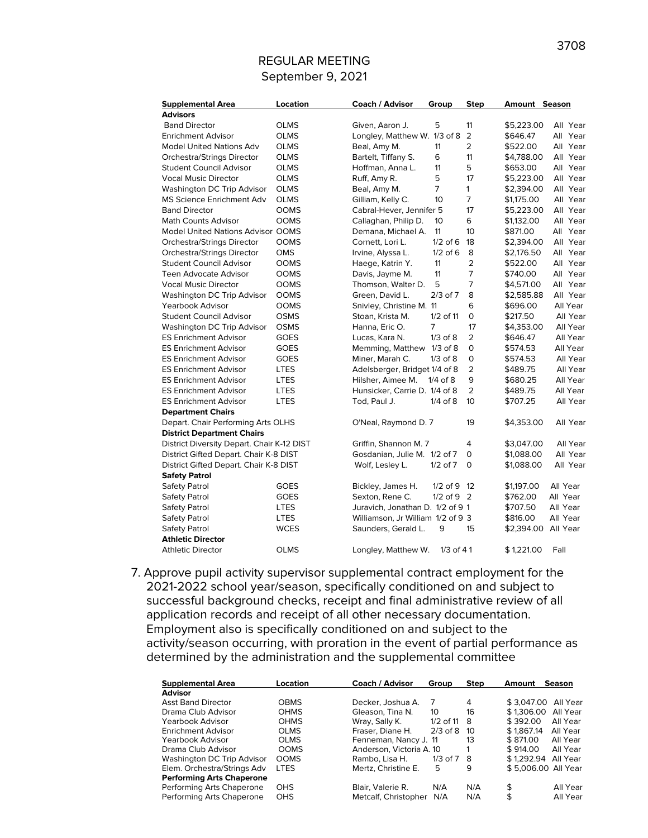| <b>Supplemental Area</b>                   | Location    | Coach / Advisor                   | Group          | <b>Step</b>     | Amount Season       |          |
|--------------------------------------------|-------------|-----------------------------------|----------------|-----------------|---------------------|----------|
| <b>Advisors</b>                            |             |                                   |                |                 |                     |          |
| <b>Band Director</b>                       | <b>OLMS</b> | Given, Aaron J.                   | 5              | 11              | \$5,223.00          | All Year |
| <b>Enrichment Advisor</b>                  | <b>OLMS</b> | Longley, Matthew W. 1/3 of 8      |                | $\overline{2}$  | \$646.47            | All Year |
| <b>Model United Nations Adv</b>            | <b>OLMS</b> | Beal, Amy M.                      | 11             | $\overline{2}$  | \$522.00            | All Year |
| Orchestra/Strings Director                 | <b>OLMS</b> | Bartelt, Tiffany S.               | 6              | 11              | \$4,788.00          | All Year |
| <b>Student Council Advisor</b>             | <b>OLMS</b> | Hoffman, Anna L.                  | 11             | 5               | \$653.00            | All Year |
| <b>Vocal Music Director</b>                | <b>OLMS</b> | Ruff, Amy R.                      | 5              | 17              | \$5,223.00          | All Year |
| Washington DC Trip Advisor                 | <b>OLMS</b> | Beal, Amy M.                      | $\overline{7}$ | $\mathbf{1}$    | \$2,394.00          | All Year |
| <b>MS Science Enrichment Adv</b>           | <b>OLMS</b> | Gilliam, Kelly C.                 | 10             | $\overline{7}$  | \$1,175.00          | All Year |
| <b>Band Director</b>                       | <b>OOMS</b> | Cabral-Hever, Jennifer 5          |                | 17              | \$5,223.00          | All Year |
| <b>Math Counts Advisor</b>                 | <b>OOMS</b> | Callaghan, Philip D.              | 10             | 6               | \$1,132.00          | All Year |
| <b>Model United Nations Advisor OOMS</b>   |             | Demana, Michael A.                | 11             | 10              | \$871.00            | All Year |
| Orchestra/Strings Director                 | <b>OOMS</b> | Cornett, Lori L.                  | $1/2$ of 6     | 18              | \$2,394.00          | All Year |
| Orchestra/Strings Director                 | OMS         | Irvine, Alyssa L.                 | $1/2$ of 6     | 8               | \$2,176.50          | All Year |
| <b>Student Council Advisor</b>             | <b>OOMS</b> | Haege, Katrin Y.                  | 11             | $\overline{2}$  | \$522.00            | All Year |
| <b>Teen Advocate Advisor</b>               | <b>OOMS</b> | Davis, Jayme M.                   | 11             | $\overline{7}$  | \$740.00            | All Year |
| <b>Vocal Music Director</b>                | <b>OOMS</b> | Thomson, Walter D.                | 5              | 7               | \$4,571.00          | All Year |
| Washington DC Trip Advisor                 | <b>OOMS</b> | Green, David L.                   | $2/3$ of $7$   | 8               | \$2,585.88          | All Year |
| Yearbook Advisor                           | <b>OOMS</b> | Snivley, Christine M. 11          |                | 6               | \$696.00            | All Year |
| <b>Student Council Advisor</b>             | <b>OSMS</b> | Stoan, Krista M.                  | 1/2 of 11      | 0               | \$217.50            | All Year |
| Washington DC Trip Advisor                 | <b>OSMS</b> | Hanna, Eric O.                    | 7              | 17              | \$4,353.00          | All Year |
| <b>ES Enrichment Advisor</b>               | <b>GOES</b> | Lucas, Kara N.                    | $1/3$ of $8$   | $\overline{2}$  | \$646.47            | All Year |
| <b>ES Enrichment Advisor</b>               | <b>GOES</b> | Memming, Matthew 1/3 of 8         |                | 0               | \$574.53            | All Year |
| <b>ES Enrichment Advisor</b>               | <b>GOES</b> | Miner, Marah C.                   | $1/3$ of $8$   | 0               | \$574.53            | All Year |
| <b>ES Enrichment Advisor</b>               | <b>LTES</b> | Adelsberger, Bridget 1/4 of 8     |                | $\overline{2}$  | \$489.75            | All Year |
| <b>ES Enrichment Advisor</b>               | LTES        | Hilsher, Aimee M.                 | $1/4$ of $8$   | 9               | \$680.25            | All Year |
| <b>ES Enrichment Advisor</b>               | <b>LTES</b> | Hunsicker, Carrie D. 1/4 of 8     |                | $\overline{2}$  | \$489.75            | All Year |
| <b>ES Enrichment Advisor</b>               | <b>LTES</b> | Tod, Paul J.                      | $1/4$ of $8$   | 10 <sup>2</sup> | \$707.25            | All Year |
| <b>Department Chairs</b>                   |             |                                   |                |                 |                     |          |
| Depart. Chair Performing Arts OLHS         |             | O'Neal, Raymond D. 7              |                | 19              | \$4,353.00          | All Year |
| <b>District Department Chairs</b>          |             |                                   |                |                 |                     |          |
| District Diversity Depart. Chair K-12 DIST |             | Griffin, Shannon M. 7             |                | 4               | \$3,047.00          | All Year |
| District Gifted Depart. Chair K-8 DIST     |             | Gosdanian, Julie M. 1/2 of 7      |                | 0               | \$1,088.00          | All Year |
| District Gifted Depart. Chair K-8 DIST     |             | Wolf, Lesley L.                   | $1/2$ of $7$   | $\mathbf 0$     | \$1,088.00          | All Year |
| <b>Safety Patrol</b>                       |             |                                   |                |                 |                     |          |
| Safety Patrol                              | <b>GOES</b> | Bickley, James H.                 | $1/2$ of 9 12  |                 | \$1,197.00          | All Year |
| Safety Patrol                              | <b>GOES</b> | Sexton, Rene C.                   | $1/2$ of 9 2   |                 | \$762.00            | All Year |
| <b>Safety Patrol</b>                       | <b>LTES</b> | Juravich, Jonathan D. 1/2 of 9 1  |                |                 | \$707.50            | All Year |
| <b>Safety Patrol</b>                       | <b>LTES</b> | Williamson, Jr William 1/2 of 9 3 |                |                 | \$816.00            | All Year |
| Safety Patrol                              | WCES        | Saunders, Gerald L.               | 9              | 15              | \$2,394.00 All Year |          |
| <b>Athletic Director</b>                   |             |                                   |                |                 |                     |          |
| <b>Athletic Director</b>                   | <b>OLMS</b> | Longley, Matthew W.               | $1/3$ of 41    |                 | \$1,221.00          | Fall     |
|                                            |             |                                   |                |                 |                     |          |

7. Approve pupil activity supervisor supplemental contract employment for the 2021-2022 school year/season, specifically conditioned on and subject to successful background checks, receipt and final administrative review of all application records and receipt of all other necessary documentation. Employment also is specifically conditioned on and subject to the activity/season occurring, with proration in the event of partial performance as determined by the administration and the supplemental committee

| <b>Supplemental Area</b>         | Location    | Coach / Advisor          | Group        | <b>Step</b> | Amount              | <b>Season</b> |
|----------------------------------|-------------|--------------------------|--------------|-------------|---------------------|---------------|
| <b>Advisor</b>                   |             |                          |              |             |                     |               |
| <b>Asst Band Director</b>        | <b>OBMS</b> | Decker, Joshua A.        |              | 4           | \$3,047.00          | All Year      |
| Drama Club Advisor               | <b>OHMS</b> | Gleason, Tina N.         | 10           | 16          | \$1,306.00          | All Year      |
| Yearbook Advisor                 | <b>OHMS</b> | Wray, Sally K.           | $1/2$ of 11  | - 8         | \$392.00            | All Year      |
| <b>Enrichment Advisor</b>        | <b>OLMS</b> | Fraser, Diane H.         | $2/3$ of 8   | - 10        | \$1,867.14          | All Year      |
| Yearbook Advisor                 | <b>OLMS</b> | Fenneman, Nancy J. 11    |              | 13          | \$871.00            | All Year      |
| Drama Club Advisor               | <b>OOMS</b> | Anderson, Victoria A. 10 |              |             | \$914.00            | All Year      |
| Washington DC Trip Advisor       | <b>OOMS</b> | Rambo, Lisa H.           | $1/3$ of $7$ | - 8         | \$1.292.94 All Year |               |
| Elem. Orchestra/Strings Adv      | <b>LTES</b> | Mertz, Christine E.      | 5            | 9           | \$5,006,00 All Year |               |
| <b>Performing Arts Chaperone</b> |             |                          |              |             |                     |               |
| Performing Arts Chaperone        | <b>OHS</b>  | Blair, Valerie R.        | N/A          | N/A         | \$                  | All Year      |
| Performing Arts Chaperone        | <b>OHS</b>  | Metcalf, Christopher     | N/A          | N/A         | \$                  | All Year      |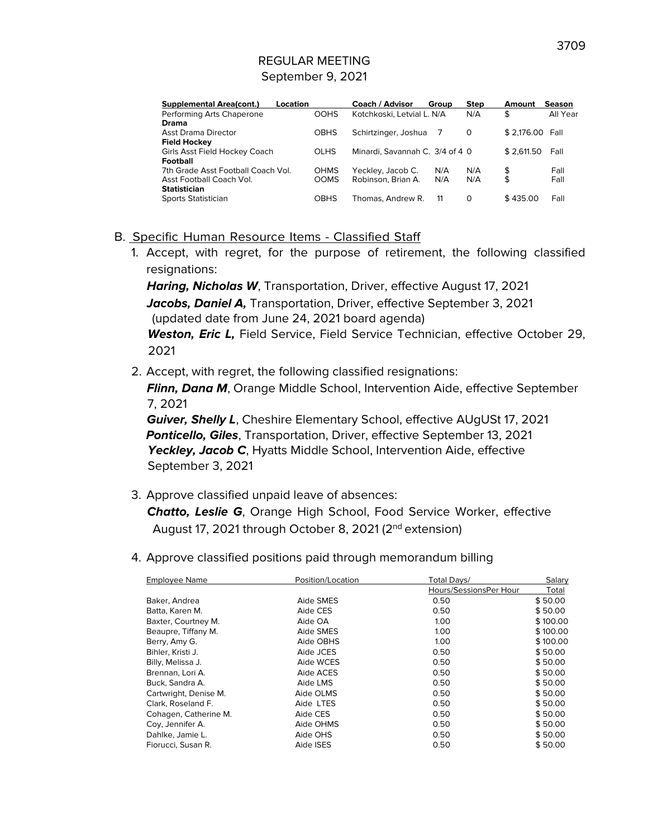|             | Coach / Advisor      |     | <b>Step</b>                                       | Amount                          | Season          |
|-------------|----------------------|-----|---------------------------------------------------|---------------------------------|-----------------|
| <b>OOHS</b> |                      |     | N/A                                               | \$                              | All Year        |
|             |                      |     |                                                   |                                 |                 |
| <b>OBHS</b> | Schirtzinger, Joshua | 7   | 0                                                 |                                 |                 |
|             |                      |     |                                                   |                                 |                 |
| <b>OLHS</b> |                      |     |                                                   | \$2.611.50                      | Fall            |
|             |                      |     |                                                   |                                 |                 |
| <b>OHMS</b> | Yeckley, Jacob C.    |     | N/A                                               | \$                              | Fall            |
| <b>OOMS</b> | Robinson, Brian A.   |     | N/A                                               | \$                              | Fall            |
|             |                      |     |                                                   |                                 |                 |
| <b>OBHS</b> | Thomas, Andrew R.    | -11 | 0                                                 | \$435.00                        | Fall            |
|             | Location             |     | Group<br>Kotchkoski, Letvial L. N/A<br>N/A<br>N/A | Minardi, Savannah C. 3/4 of 4 0 | \$2.176.00 Fall |

#### B. Specific Human Resource Items - Classified Staff

1. Accept, with regret, for the purpose of retirement, the following classified resignations:

**Haring, Nicholas W**, Transportation, Driver, effective August 17, 2021 **Jacobs, Daniel A,** Transportation, Driver, effective September 3, 2021 (updated date from June 24, 2021 board agenda) **Weston, Eric L,** Field Service, Field Service Technician, effective October 29, 2021

2. Accept, with regret, the following classified resignations:

**Flinn, Dana M**, Orange Middle School, Intervention Aide, effective September 7, 2021

**Guiver, Shelly L**, Cheshire Elementary School, effective AUgUSt 17, 2021 **Ponticello, Giles**, Transportation, Driver, effective September 13, 2021 Yeckley, Jacob C, Hyatts Middle School, Intervention Aide, effective September 3, 2021

3. Approve classified unpaid leave of absences:

**Chatto, Leslie G**, Orange High School, Food Service Worker, effective August 17, 2021 through October 8, 2021 (2<sup>nd</sup> extension)

4. Approve classified positions paid through memorandum billing

| <b>Employee Name</b>  | Position/Location | Total Days/            | Salary   |
|-----------------------|-------------------|------------------------|----------|
|                       |                   | Hours/SessionsPer Hour | Total    |
| Baker, Andrea         | Aide SMES         | 0.50                   | \$50.00  |
| Batta, Karen M.       | Aide CES          | 0.50                   | \$50.00  |
| Baxter, Courtney M.   | Aide OA           | 1.00                   | \$100.00 |
| Beaupre, Tiffany M.   | Aide SMES         | 1.00                   | \$100.00 |
| Berry, Amy G.         | Aide OBHS         | 1.00                   | \$100.00 |
| Bihler, Kristi J.     | Aide JCES         | 0.50                   | \$50.00  |
| Billy, Melissa J.     | Aide WCES         | 0.50                   | \$50.00  |
| Brennan, Lori A.      | Aide ACES         | 0.50                   | \$50.00  |
| Buck, Sandra A.       | Aide LMS          | 0.50                   | \$50.00  |
| Cartwright, Denise M. | Aide OLMS         | 0.50                   | \$50.00  |
| Clark, Roseland F.    | Aide LTES         | 0.50                   | \$50.00  |
| Cohagen, Catherine M. | Aide CES          | 0.50                   | \$50.00  |
| Coy, Jennifer A.      | Aide OHMS         | 0.50                   | \$50.00  |
| Dahlke, Jamie L.      | Aide OHS          | 0.50                   | \$50.00  |
| Fiorucci, Susan R.    | Aide ISES         | 0.50                   | \$50.00  |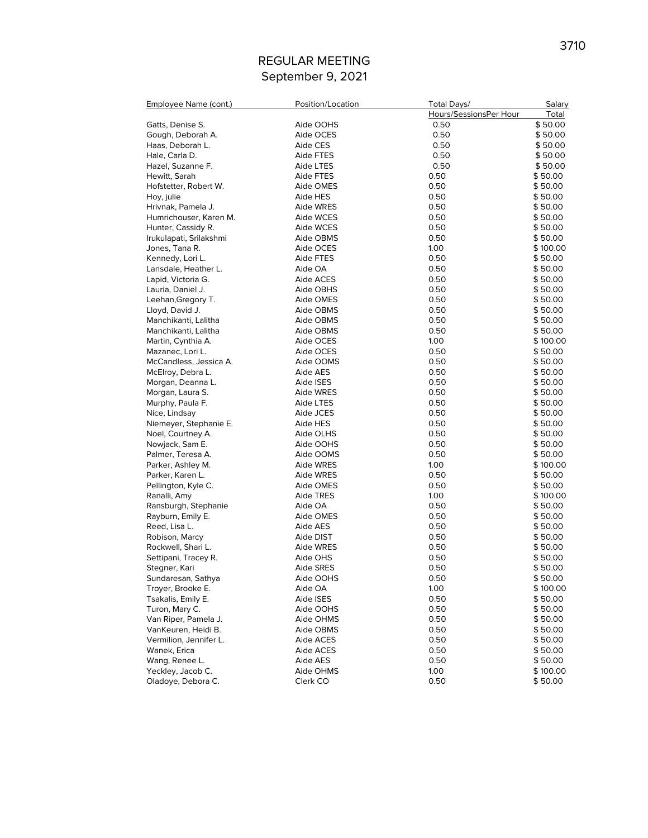| Employee Name (cont.)   | Position/Location | Total Days/            | Salary   |
|-------------------------|-------------------|------------------------|----------|
|                         |                   | Hours/SessionsPer Hour | Total    |
| Gatts, Denise S.        | Aide OOHS         | 0.50                   | \$50.00  |
| Gough, Deborah A.       | Aide OCES         | 0.50                   | \$50.00  |
| Haas, Deborah L.        | Aide CES          | 0.50                   | \$50.00  |
| Hale, Carla D.          | Aide FTES         | 0.50                   | \$50.00  |
| Hazel, Suzanne F.       | Aide LTES         | 0.50                   | \$50.00  |
| Hewitt, Sarah           | Aide FTES         | 0.50                   | \$50.00  |
| Hofstetter, Robert W.   | Aide OMES         | 0.50                   | \$50.00  |
| Hoy, julie              | Aide HES          | 0.50                   | \$50.00  |
| Hrivnak, Pamela J.      | Aide WRES         | 0.50                   | \$50.00  |
| Humrichouser, Karen M.  | Aide WCES         | 0.50                   | \$50.00  |
| Hunter, Cassidy R.      | Aide WCES         | 0.50                   | \$50.00  |
| Irukulapati, Srilakshmi | Aide OBMS         | 0.50                   | \$50.00  |
| Jones, Tana R.          | Aide OCES         | 1.00                   | \$100.00 |
| Kennedy, Lori L.        | Aide FTES         | 0.50                   | \$50.00  |
| Lansdale, Heather L.    | Aide OA           | 0.50                   | \$50.00  |
| Lapid, Victoria G.      | Aide ACES         | 0.50                   | \$50.00  |
| Lauria, Daniel J.       | Aide OBHS         | 0.50                   | \$50.00  |
| Leehan, Gregory T.      | Aide OMES         | 0.50                   | \$50.00  |
| Lloyd, David J.         | Aide OBMS         | 0.50                   | \$50.00  |
| Manchikanti, Lalitha    | Aide OBMS         | 0.50                   | \$50.00  |
| Manchikanti, Lalitha    | Aide OBMS         | 0.50                   | \$50.00  |
| Martin, Cynthia A.      | Aide OCES         | 1.00                   | \$100.00 |
| Mazanec, Lori L.        | Aide OCES         | 0.50                   | \$50.00  |
| McCandless, Jessica A.  | Aide OOMS         | 0.50                   | \$50.00  |
| McElroy, Debra L.       | Aide AES          | 0.50                   | \$50.00  |
| Morgan, Deanna L.       | Aide ISES         | 0.50                   | \$50.00  |
| Morgan, Laura S.        | Aide WRES         | 0.50                   | \$50.00  |
| Murphy, Paula F.        | Aide LTES         | 0.50                   | \$50.00  |
| Nice, Lindsay           | Aide JCES         | 0.50                   | \$50.00  |
| Niemeyer, Stephanie E.  | Aide HES          | 0.50                   | \$50.00  |
| Noel, Courtney A.       | Aide OLHS         | 0.50                   | \$50.00  |
| Nowjack, Sam E.         | Aide OOHS         | 0.50                   | \$50.00  |
| Palmer, Teresa A.       | Aide OOMS         | 0.50                   | \$50.00  |
| Parker, Ashley M.       | Aide WRES         | 1.00                   | \$100.00 |
| Parker, Karen L.        | Aide WRES         | 0.50                   | \$50.00  |
| Pellington, Kyle C.     | Aide OMES         | 0.50                   | \$50.00  |
| Ranalli, Amy            | Aide TRES         | 1.00                   | \$100.00 |
| Ransburgh, Stephanie    | Aide OA           | 0.50                   | \$50.00  |
| Rayburn, Emily E.       | Aide OMES         | 0.50                   | \$50.00  |
| Reed, Lisa L.           | Aide AES          | 0.50                   | \$50.00  |
| Robison, Marcy          | Aide DIST         | 0.50                   | \$50.00  |
| Rockwell, Shari L.      | Aide WRES         | 0.50                   | \$50.00  |
| Settipani, Tracey R.    | Aide OHS          | 0.50                   | \$50.00  |
| Stegner, Kari           | <b>Aide SRES</b>  | 0.50                   | \$ 50.00 |
| Sundaresan, Sathya      | Aide OOHS         | 0.50                   | \$50.00  |
| Troyer, Brooke E.       | Aide OA           | 1.00                   | \$100.00 |
| Tsakalis, Emily E.      | Aide ISES         | 0.50                   | \$50.00  |
| Turon, Mary C.          | Aide OOHS         | 0.50                   | \$50.00  |
| Van Riper, Pamela J.    | Aide OHMS         | 0.50                   | \$50.00  |
| VanKeuren, Heidi B.     | Aide OBMS         | 0.50                   | \$50.00  |
| Vermilion, Jennifer L.  | Aide ACES         | 0.50                   | \$50.00  |
| Wanek, Erica            | Aide ACES         | 0.50                   | \$50.00  |
| Wang, Renee L.          | Aide AES          | 0.50                   | \$50.00  |
| Yeckley, Jacob C.       | Aide OHMS         | 1.00                   | \$100.00 |
| Oladoye, Debora C.      | Clerk CO          | 0.50                   | \$50.00  |
|                         |                   |                        |          |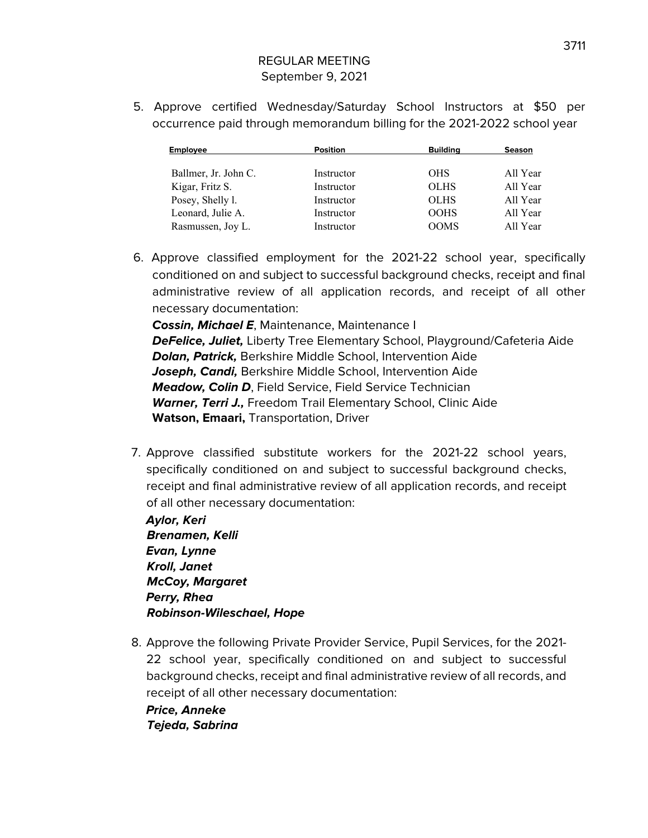5. Approve certified Wednesday/Saturday School Instructors at \$50 per occurrence paid through memorandum billing for the 2021-2022 school year

| <b>Employee</b>      | <b>Position</b> | <b>Building</b> | <b>Season</b> |
|----------------------|-----------------|-----------------|---------------|
| Ballmer, Jr. John C. | Instructor      | <b>OHS</b>      | All Year      |
| Kigar, Fritz S.      | Instructor      | <b>OLHS</b>     | All Year      |
| Posey, Shelly l.     | Instructor      | <b>OLHS</b>     | All Year      |
| Leonard, Julie A.    | Instructor      | <b>OOHS</b>     | All Year      |
| Rasmussen, Joy L.    | Instructor      | <b>OOMS</b>     | All Year      |

6. Approve classified employment for the 2021-22 school year, specifically conditioned on and subject to successful background checks, receipt and final administrative review of all application records, and receipt of all other necessary documentation:

**Cossin, Michael E**, Maintenance, Maintenance I **DeFelice, Juliet,** Liberty Tree Elementary School, Playground/Cafeteria Aide **Dolan, Patrick,** Berkshire Middle School, Intervention Aide **Joseph, Candi,** Berkshire Middle School, Intervention Aide **Meadow, Colin D**, Field Service, Field Service Technician Warner, Terri J., Freedom Trail Elementary School, Clinic Aide **Watson, Emaari,** Transportation, Driver

7. Approve classified substitute workers for the 2021-22 school years, specifically conditioned on and subject to successful background checks, receipt and final administrative review of all application records, and receipt of all other necessary documentation:

**Aylor, Keri Brenamen, Kelli Evan, Lynne Kroll, Janet McCoy, Margaret Perry, Rhea Robinson-Wileschael, Hope**

8. Approve the following Private Provider Service, Pupil Services, for the 2021- 22 school year, specifically conditioned on and subject to successful background checks, receipt and final administrative review of all records, and receipt of all other necessary documentation:

**Price, Anneke Tejeda, Sabrina**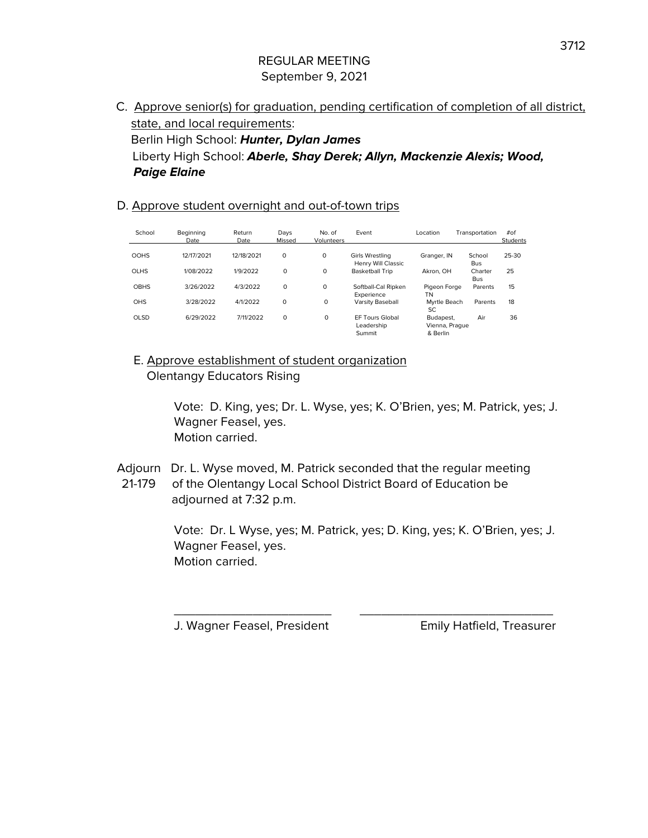C. Approve senior(s) for graduation, pending certification of completion of all district, state, and local requirements: Berlin High School: **Hunter, Dylan James** Liberty High School: **Aberle, Shay Derek; Allyn, Mackenzie Alexis; Wood, Paige Elaine**

#### D. Approve student overnight and out-of-town trips

| School      | Beainnina<br>Date | Return<br>Date | Days<br>Missed | No. of<br><b>Volunteers</b> | Event                                          | Location                                | Transportation        | #of<br>Students |
|-------------|-------------------|----------------|----------------|-----------------------------|------------------------------------------------|-----------------------------------------|-----------------------|-----------------|
| <b>OOHS</b> | 12/17/2021        | 12/18/2021     | $\circ$        | $\circ$                     | Girls Wrestling<br>Henry Will Classic          | Granger, IN                             | School<br><b>Bus</b>  | 25-30           |
| <b>OLHS</b> | 1/08/2022         | 1/9/2022       | 0              | $\circ$                     | <b>Basketball Trip</b>                         | Akron, OH                               | Charter<br><b>Bus</b> | 25              |
| <b>OBHS</b> | 3/26/2022         | 4/3/2022       | 0              | $\circ$                     | Softball-Cal Ripken<br>Experience              | Pigeon Forge<br>TN                      | Parents               | 15              |
| <b>OHS</b>  | 3/28/2022         | 4/1/2022       | 0              | 0                           | <b>Varsity Baseball</b>                        | Myrtle Beach<br>SC.                     | Parents               | 18              |
| <b>OLSD</b> | 6/29/2022         | 7/11/2022      | 0              | 0                           | <b>EF Tours Global</b><br>Leadership<br>Summit | Budapest.<br>Vienna, Prague<br>& Berlin | Air                   | 36              |

E. Approve establishment of student organization Olentangy Educators Rising

> Vote: D. King, yes; Dr. L. Wyse, yes; K. O'Brien, yes; M. Patrick, yes; J. Wagner Feasel, yes. Motion carried.

Adjourn Dr. L. Wyse moved, M. Patrick seconded that the regular meeting 21-179 of the Olentangy Local School District Board of Education be adjourned at 7:32 p.m.

> Vote: Dr. L Wyse, yes; M. Patrick, yes; D. King, yes; K. O'Brien, yes; J. Wagner Feasel, yes. Motion carried.

\_\_\_\_\_\_\_\_\_\_\_\_\_\_\_\_\_\_\_\_\_\_ \_\_\_\_\_\_\_\_\_\_\_\_\_\_\_\_\_\_\_\_\_\_\_\_\_\_\_

J. Wagner Feasel, President Emily Hatfield, Treasurer